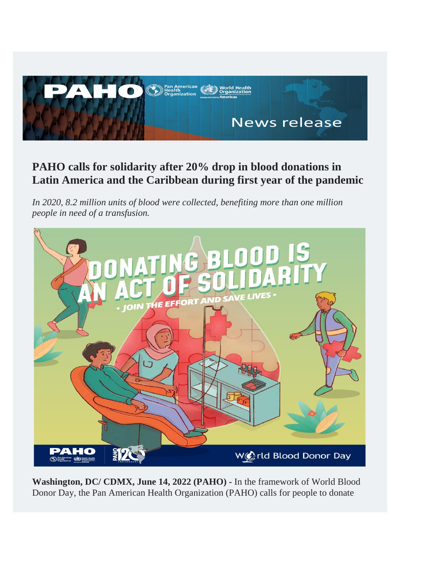

## **PAHO calls for solidarity after 20% drop in blood donations in Latin America and the Caribbean during first year of the pandemic**

*In 2020, 8.2 million units of blood were collected, benefiting more than one million people in need of a transfusion.*



**Washington, DC/ CDMX, June 14, 2022 (PAHO) -** In the framework of World Blood Donor Day, the Pan American Health Organization (PAHO) calls for people to donate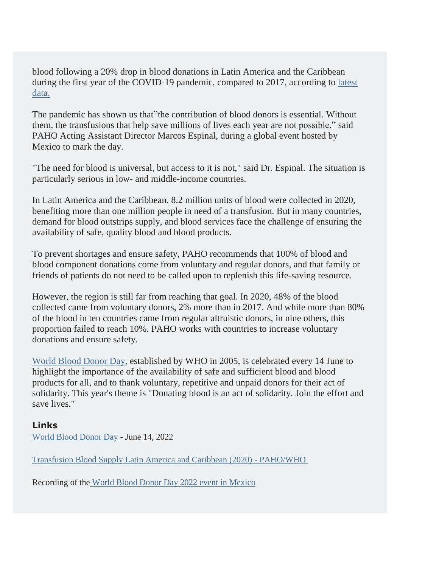blood following a 20% drop in blood donations in Latin America and the Caribbean during the first year of the COVID-19 pandemic, compared to 2017, according to [latest](https://paho.us19.list-manage.com/track/click?u=44ee81176202d33cbd0372f87&id=559476500c&e=cf7c844205) [data.](https://paho.us19.list-manage.com/track/click?u=44ee81176202d33cbd0372f87&id=559476500c&e=cf7c844205)

The pandemic has shown us that"the contribution of blood donors is essential. Without them, the transfusions that help save millions of lives each year are not possible," said PAHO Acting Assistant Director Marcos Espinal, during a global event hosted by Mexico to mark the day.

"The need for blood is universal, but access to it is not," said Dr. Espinal. The situation is particularly serious in low- and middle-income countries.

In Latin America and the Caribbean, 8.2 million units of blood were collected in 2020, benefiting more than one million people in need of a transfusion. But in many countries, demand for blood outstrips supply, and blood services face the challenge of ensuring the availability of safe, quality blood and blood products.

To prevent shortages and ensure safety, PAHO recommends that 100% of blood and blood component donations come from voluntary and regular donors, and that family or friends of patients do not need to be called upon to replenish this life-saving resource.

However, the region is still far from reaching that goal. In 2020, 48% of the blood collected came from voluntary donors, 2% more than in 2017. And while more than 80% of the blood in ten countries came from regular altruistic donors, in nine others, this proportion failed to reach 10%. PAHO works with countries to increase voluntary donations and ensure safety.

World Blood [Donor](https://paho.us19.list-manage.com/track/click?u=44ee81176202d33cbd0372f87&id=36489afeac&e=cf7c844205) Day, established by WHO in 2005, is celebrated every 14 June to highlight the importance of the availability of safe and sufficient blood and blood products for all, and to thank voluntary, repetitive and unpaid donors for their act of solidarity. This year's theme is "Donating blood is an act of solidarity. Join the effort and save lives."

## **Links**

[World](https://paho.us19.list-manage.com/track/click?u=44ee81176202d33cbd0372f87&id=53b7250f45&e=cf7c844205) Blood Donor Day - June 14, 2022

Transfusion Blood Supply Latin America and Caribbean (2020) - [PAHO/WHO](https://paho.us19.list-manage.com/track/click?u=44ee81176202d33cbd0372f87&id=8186e5d86c&e=cf7c844205)

Recording of th[e](https://paho.us19.list-manage.com/track/click?u=44ee81176202d33cbd0372f87&id=22d2e87c35&e=cf7c844205) [World](https://paho.us19.list-manage.com/track/click?u=44ee81176202d33cbd0372f87&id=5ad2921eec&e=cf7c844205) Blood Donor Day 2022 event in [Mexico](https://paho.us19.list-manage.com/track/click?u=44ee81176202d33cbd0372f87&id=5177a53d00&e=cf7c844205)